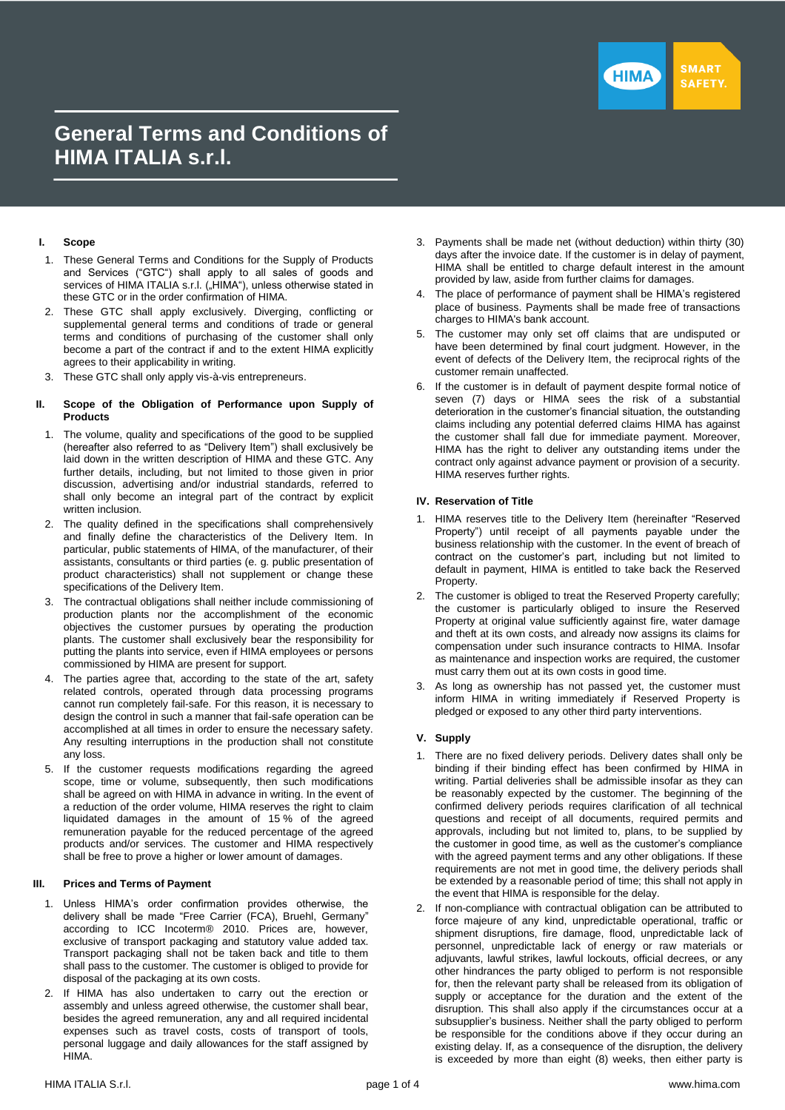

# **General Terms and Conditions of HIMA ITALIA s.r.l.**

## **I. Scope**

- 1. These General Terms and Conditions for the Supply of Products and Services ("GTC") shall apply to all sales of goods and services of HIMA ITALIA s.r.l. ("HIMA"), unless otherwise stated in these GTC or in the order confirmation of HIMA.
- 2. These GTC shall apply exclusively. Diverging, conflicting or supplemental general terms and conditions of trade or general terms and conditions of purchasing of the customer shall only become a part of the contract if and to the extent HIMA explicitly agrees to their applicability in writing.
- 3. These GTC shall only apply vis-à-vis entrepreneurs.

#### **II. Scope of the Obligation of Performance upon Supply of Products**

- 1. The volume, quality and specifications of the good to be supplied (hereafter also referred to as "Delivery Item") shall exclusively be laid down in the written description of HIMA and these GTC. Any further details, including, but not limited to those given in prior discussion, advertising and/or industrial standards, referred to shall only become an integral part of the contract by explicit written inclusion.
- 2. The quality defined in the specifications shall comprehensively and finally define the characteristics of the Delivery Item. In particular, public statements of HIMA, of the manufacturer, of their assistants, consultants or third parties (e. g. public presentation of product characteristics) shall not supplement or change these specifications of the Delivery Item.
- 3. The contractual obligations shall neither include commissioning of production plants nor the accomplishment of the economic objectives the customer pursues by operating the production plants. The customer shall exclusively bear the responsibility for putting the plants into service, even if HIMA employees or persons commissioned by HIMA are present for support.
- 4. The parties agree that, according to the state of the art, safety related controls, operated through data processing programs cannot run completely fail-safe. For this reason, it is necessary to design the control in such a manner that fail-safe operation can be accomplished at all times in order to ensure the necessary safety. Any resulting interruptions in the production shall not constitute any loss.
- 5. If the customer requests modifications regarding the agreed scope, time or volume, subsequently, then such modifications shall be agreed on with HIMA in advance in writing. In the event of a reduction of the order volume, HIMA reserves the right to claim liquidated damages in the amount of 15 % of the agreed remuneration payable for the reduced percentage of the agreed products and/or services. The customer and HIMA respectively shall be free to prove a higher or lower amount of damages.

#### **III. Prices and Terms of Payment**

- 1. Unless HIMA's order confirmation provides otherwise, the delivery shall be made "Free Carrier (FCA), Bruehl, Germany" according to ICC Incoterm® 2010. Prices are, however, exclusive of transport packaging and statutory value added tax. Transport packaging shall not be taken back and title to them shall pass to the customer. The customer is obliged to provide for disposal of the packaging at its own costs.
- 2. If HIMA has also undertaken to carry out the erection or assembly and unless agreed otherwise, the customer shall bear, besides the agreed remuneration, any and all required incidental expenses such as travel costs, costs of transport of tools, personal luggage and daily allowances for the staff assigned by HIMA.
- 3. Payments shall be made net (without deduction) within thirty (30) days after the invoice date. If the customer is in delay of payment, HIMA shall be entitled to charge default interest in the amount provided by law, aside from further claims for damages.
- The place of performance of payment shall be HIMA's registered place of business. Payments shall be made free of transactions charges to HIMA's bank account.
- 5. The customer may only set off claims that are undisputed or have been determined by final court judgment. However, in the event of defects of the Delivery Item, the reciprocal rights of the customer remain unaffected.
- 6. If the customer is in default of payment despite formal notice of seven (7) days or HIMA sees the risk of a substantial deterioration in the customer's financial situation, the outstanding claims including any potential deferred claims HIMA has against the customer shall fall due for immediate payment. Moreover, HIMA has the right to deliver any outstanding items under the contract only against advance payment or provision of a security. HIMA reserves further rights.

## **IV. Reservation of Title**

- 1. HIMA reserves title to the Delivery Item (hereinafter "Reserved Property") until receipt of all payments payable under the business relationship with the customer. In the event of breach of contract on the customer's part, including but not limited to default in payment, HIMA is entitled to take back the Reserved Property.
- 2. The customer is obliged to treat the Reserved Property carefully; the customer is particularly obliged to insure the Reserved Property at original value sufficiently against fire, water damage and theft at its own costs, and already now assigns its claims for compensation under such insurance contracts to HIMA. Insofar as maintenance and inspection works are required, the customer must carry them out at its own costs in good time.
- 3. As long as ownership has not passed yet, the customer must inform HIMA in writing immediately if Reserved Property is pledged or exposed to any other third party interventions.

# **V. Supply**

- 1. There are no fixed delivery periods. Delivery dates shall only be binding if their binding effect has been confirmed by HIMA in writing. Partial deliveries shall be admissible insofar as they can be reasonably expected by the customer. The beginning of the confirmed delivery periods requires clarification of all technical questions and receipt of all documents, required permits and approvals, including but not limited to, plans, to be supplied by the customer in good time, as well as the customer's compliance with the agreed payment terms and any other obligations. If these requirements are not met in good time, the delivery periods shall be extended by a reasonable period of time; this shall not apply in the event that HIMA is responsible for the delay.
- 2. If non-compliance with contractual obligation can be attributed to force majeure of any kind, unpredictable operational, traffic or shipment disruptions, fire damage, flood, unpredictable lack of personnel, unpredictable lack of energy or raw materials or adjuvants, lawful strikes, lawful lockouts, official decrees, or any other hindrances the party obliged to perform is not responsible for, then the relevant party shall be released from its obligation of supply or acceptance for the duration and the extent of the disruption. This shall also apply if the circumstances occur at a subsupplier's business. Neither shall the party obliged to perform be responsible for the conditions above if they occur during an existing delay. If, as a consequence of the disruption, the delivery is exceeded by more than eight (8) weeks, then either party is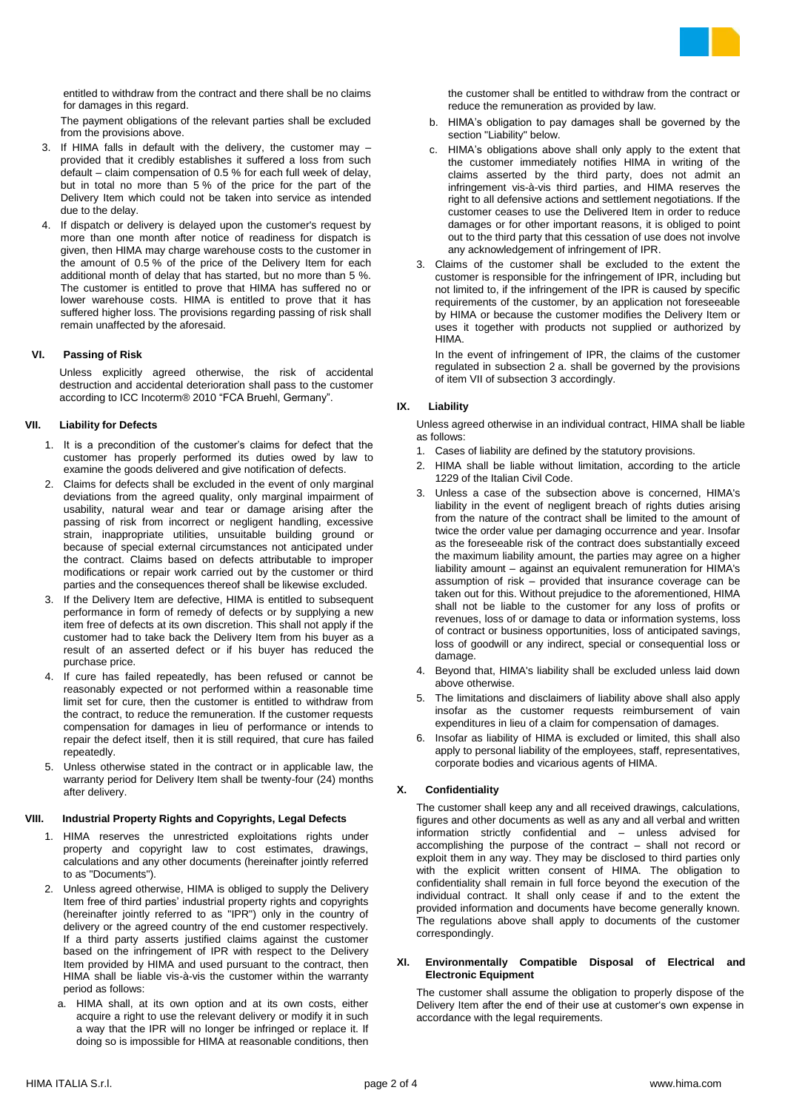

entitled to withdraw from the contract and there shall be no claims for damages in this regard.

The payment obligations of the relevant parties shall be excluded from the provisions above.

- 3. If HIMA falls in default with the delivery, the customer may provided that it credibly establishes it suffered a loss from such default – claim compensation of 0.5 % for each full week of delay, but in total no more than 5 % of the price for the part of the Delivery Item which could not be taken into service as intended due to the delay.
- 4. If dispatch or delivery is delayed upon the customer's request by more than one month after notice of readiness for dispatch is given, then HIMA may charge warehouse costs to the customer in the amount of 0.5 % of the price of the Delivery Item for each additional month of delay that has started, but no more than 5 %. The customer is entitled to prove that HIMA has suffered no or lower warehouse costs. HIMA is entitled to prove that it has suffered higher loss. The provisions regarding passing of risk shall remain unaffected by the aforesaid.

## **VI. Passing of Risk**

Unless explicitly agreed otherwise, the risk of accidental destruction and accidental deterioration shall pass to the customer according to ICC Incoterm® 2010 "FCA Bruehl, Germany".

## **VII. Liability for Defects**

- 1. It is a precondition of the customer's claims for defect that the customer has properly performed its duties owed by law to examine the goods delivered and give notification of defects.
- 2. Claims for defects shall be excluded in the event of only marginal deviations from the agreed quality, only marginal impairment of usability, natural wear and tear or damage arising after the passing of risk from incorrect or negligent handling, excessive strain, inappropriate utilities, unsuitable building ground or because of special external circumstances not anticipated under the contract. Claims based on defects attributable to improper modifications or repair work carried out by the customer or third parties and the consequences thereof shall be likewise excluded.
- 3. If the Delivery Item are defective, HIMA is entitled to subsequent performance in form of remedy of defects or by supplying a new item free of defects at its own discretion. This shall not apply if the customer had to take back the Delivery Item from his buyer as a result of an asserted defect or if his buyer has reduced the purchase price.
- 4. If cure has failed repeatedly, has been refused or cannot be reasonably expected or not performed within a reasonable time limit set for cure, then the customer is entitled to withdraw from the contract, to reduce the remuneration. If the customer requests compensation for damages in lieu of performance or intends to repair the defect itself, then it is still required, that cure has failed repeatedly.
- 5. Unless otherwise stated in the contract or in applicable law, the warranty period for Delivery Item shall be twenty-four (24) months after delivery.

## **VIII. Industrial Property Rights and Copyrights, Legal Defects**

- 1. HIMA reserves the unrestricted exploitations rights under property and copyright law to cost estimates, drawings, calculations and any other documents (hereinafter jointly referred to as "Documents").
- 2. Unless agreed otherwise, HIMA is obliged to supply the Delivery Item free of third parties' industrial property rights and copyrights (hereinafter jointly referred to as "IPR") only in the country of delivery or the agreed country of the end customer respectively. If a third party asserts justified claims against the customer based on the infringement of IPR with respect to the Delivery Item provided by HIMA and used pursuant to the contract, then HIMA shall be liable vis-à-vis the customer within the warranty period as follows:
	- a. HIMA shall, at its own option and at its own costs, either acquire a right to use the relevant delivery or modify it in such a way that the IPR will no longer be infringed or replace it. If doing so is impossible for HIMA at reasonable conditions, then

the customer shall be entitled to withdraw from the contract or reduce the remuneration as provided by law.

- b. HIMA's obligation to pay damages shall be governed by the section "Liability" below.
- c. HIMA's obligations above shall only apply to the extent that the customer immediately notifies HIMA in writing of the claims asserted by the third party, does not admit an infringement vis-à-vis third parties, and HIMA reserves the right to all defensive actions and settlement negotiations. If the customer ceases to use the Delivered Item in order to reduce damages or for other important reasons, it is obliged to point out to the third party that this cessation of use does not involve any acknowledgement of infringement of IPR.
- 3. Claims of the customer shall be excluded to the extent the customer is responsible for the infringement of IPR, including but not limited to, if the infringement of the IPR is caused by specific requirements of the customer, by an application not foreseeable by HIMA or because the customer modifies the Delivery Item or uses it together with products not supplied or authorized by HIMA.

In the event of infringement of IPR, the claims of the customer regulated in subsection 2 a. shall be governed by the provisions of item VII of subsection 3 accordingly.

## **IX. Liability**

Unless agreed otherwise in an individual contract, HIMA shall be liable as follows:

- 1. Cases of liability are defined by the statutory provisions.
- 2. HIMA shall be liable without limitation, according to the article 1229 of the Italian Civil Code.
- 3. Unless a case of the subsection above is concerned, HIMA's liability in the event of negligent breach of rights duties arising from the nature of the contract shall be limited to the amount of twice the order value per damaging occurrence and year. Insofar as the foreseeable risk of the contract does substantially exceed the maximum liability amount, the parties may agree on a higher liability amount – against an equivalent remuneration for HIMA's assumption of risk – provided that insurance coverage can be taken out for this. Without prejudice to the aforementioned, HIMA shall not be liable to the customer for any loss of profits or revenues, loss of or damage to data or information systems, loss of contract or business opportunities, loss of anticipated savings, loss of goodwill or any indirect, special or consequential loss or damage.
- 4. Beyond that, HIMA's liability shall be excluded unless laid down above otherwise.
- 5. The limitations and disclaimers of liability above shall also apply insofar as the customer requests reimbursement of vain expenditures in lieu of a claim for compensation of damages.
- 6. Insofar as liability of HIMA is excluded or limited, this shall also apply to personal liability of the employees, staff, representatives, corporate bodies and vicarious agents of HIMA.

# **X. Confidentiality**

The customer shall keep any and all received drawings, calculations, figures and other documents as well as any and all verbal and written information strictly confidential and – unless advised for accomplishing the purpose of the contract – shall not record or exploit them in any way. They may be disclosed to third parties only with the explicit written consent of HIMA. The obligation to confidentiality shall remain in full force beyond the execution of the individual contract. It shall only cease if and to the extent the provided information and documents have become generally known. The regulations above shall apply to documents of the customer correspondingly.

### **XI. Environmentally Compatible Disposal of Electrical and Electronic Equipment**

The customer shall assume the obligation to properly dispose of the Delivery Item after the end of their use at customer's own expense in accordance with the legal requirements.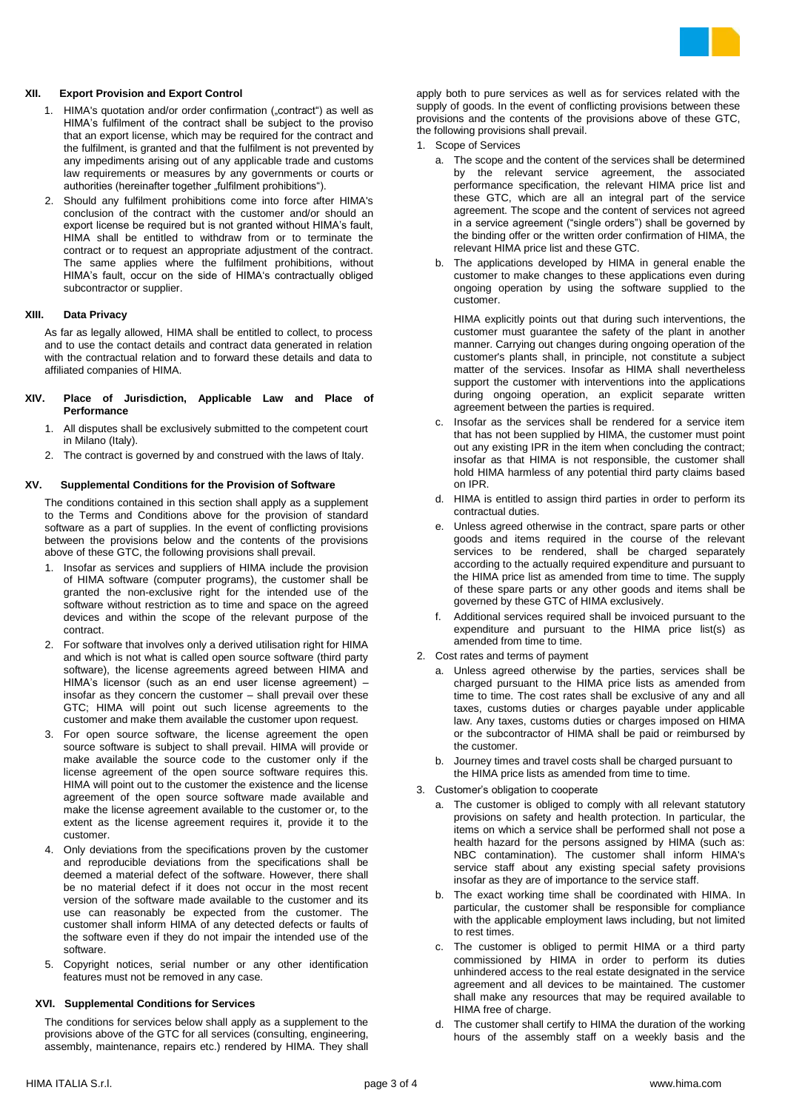

## **XII. Export Provision and Export Control**

- 1. HIMA's quotation and/or order confirmation ("contract") as well as HIMA's fulfilment of the contract shall be subject to the proviso that an export license, which may be required for the contract and the fulfilment, is granted and that the fulfilment is not prevented by any impediments arising out of any applicable trade and customs law requirements or measures by any governments or courts or authorities (hereinafter together "fulfilment prohibitions").
- 2. Should any fulfilment prohibitions come into force after HIMA's conclusion of the contract with the customer and/or should an export license be required but is not granted without HIMA's fault, HIMA shall be entitled to withdraw from or to terminate the contract or to request an appropriate adjustment of the contract. The same applies where the fulfilment prohibitions, without HIMA's fault, occur on the side of HIMA's contractually obliged subcontractor or supplier.

## **XIII. Data Privacy**

As far as legally allowed, HIMA shall be entitled to collect, to process and to use the contact details and contract data generated in relation with the contractual relation and to forward these details and data to affiliated companies of HIMA.

#### **XIV. Place of Jurisdiction, Applicable Law and Place of Performance**

- 1. All disputes shall be exclusively submitted to the competent court in Milano (Italy).
- 2. The contract is governed by and construed with the laws of Italy.

#### **XV. Supplemental Conditions for the Provision of Software**

The conditions contained in this section shall apply as a supplement to the Terms and Conditions above for the provision of standard software as a part of supplies. In the event of conflicting provisions between the provisions below and the contents of the provisions above of these GTC, the following provisions shall prevail.

- 1. Insofar as services and suppliers of HIMA include the provision of HIMA software (computer programs), the customer shall be granted the non-exclusive right for the intended use of the software without restriction as to time and space on the agreed devices and within the scope of the relevant purpose of the contract.
- 2. For software that involves only a derived utilisation right for HIMA and which is not what is called open source software (third party software), the license agreements agreed between HIMA and HIMA's licensor (such as an end user license agreement) – insofar as they concern the customer – shall prevail over these GTC; HIMA will point out such license agreements to the customer and make them available the customer upon request.
- 3. For open source software, the license agreement the open source software is subject to shall prevail. HIMA will provide or make available the source code to the customer only if the license agreement of the open source software requires this. HIMA will point out to the customer the existence and the license agreement of the open source software made available and make the license agreement available to the customer or, to the extent as the license agreement requires it, provide it to the customer.
- 4. Only deviations from the specifications proven by the customer and reproducible deviations from the specifications shall be deemed a material defect of the software. However, there shall be no material defect if it does not occur in the most recent version of the software made available to the customer and its use can reasonably be expected from the customer. The customer shall inform HIMA of any detected defects or faults of the software even if they do not impair the intended use of the software.
- 5. Copyright notices, serial number or any other identification features must not be removed in any case.

#### **XVI. Supplemental Conditions for Services**

The conditions for services below shall apply as a supplement to the provisions above of the GTC for all services (consulting, engineering, assembly, maintenance, repairs etc.) rendered by HIMA. They shall

apply both to pure services as well as for services related with the supply of goods. In the event of conflicting provisions between these provisions and the contents of the provisions above of these GTC, the following provisions shall prevail.

- 1. Scope of Services
	- a. The scope and the content of the services shall be determined by the relevant service agreement, the associated performance specification, the relevant HIMA price list and these GTC, which are all an integral part of the service agreement. The scope and the content of services not agreed in a service agreement ("single orders") shall be governed by the binding offer or the written order confirmation of HIMA, the relevant HIMA price list and these GTC.
	- b. The applications developed by HIMA in general enable the customer to make changes to these applications even during ongoing operation by using the software supplied to the customer.

HIMA explicitly points out that during such interventions, the customer must guarantee the safety of the plant in another manner. Carrying out changes during ongoing operation of the customer's plants shall, in principle, not constitute a subject matter of the services. Insofar as HIMA shall nevertheless support the customer with interventions into the applications during ongoing operation, an explicit separate written agreement between the parties is required.

- c. Insofar as the services shall be rendered for a service item that has not been supplied by HIMA, the customer must point out any existing IPR in the item when concluding the contract; insofar as that HIMA is not responsible, the customer shall hold HIMA harmless of any potential third party claims based on IPR.
- d. HIMA is entitled to assign third parties in order to perform its contractual duties.
- e. Unless agreed otherwise in the contract, spare parts or other goods and items required in the course of the relevant services to be rendered, shall be charged separately according to the actually required expenditure and pursuant to the HIMA price list as amended from time to time. The supply of these spare parts or any other goods and items shall be governed by these GTC of HIMA exclusively.
- f. Additional services required shall be invoiced pursuant to the expenditure and pursuant to the HIMA price list(s) as amended from time to time.
- 2. Cost rates and terms of payment
	- a. Unless agreed otherwise by the parties, services shall be charged pursuant to the HIMA price lists as amended from time to time. The cost rates shall be exclusive of any and all taxes, customs duties or charges payable under applicable law. Any taxes, customs duties or charges imposed on HIMA or the subcontractor of HIMA shall be paid or reimbursed by the customer.
	- b. Journey times and travel costs shall be charged pursuant to the HIMA price lists as amended from time to time.
- 3. Customer's obligation to cooperate
	- a. The customer is obliged to comply with all relevant statutory provisions on safety and health protection. In particular, the items on which a service shall be performed shall not pose a health hazard for the persons assigned by HIMA (such as: NBC contamination). The customer shall inform HIMA's service staff about any existing special safety provisions insofar as they are of importance to the service staff.
	- b. The exact working time shall be coordinated with HIMA. In particular, the customer shall be responsible for compliance with the applicable employment laws including, but not limited to rest times.
	- c. The customer is obliged to permit HIMA or a third party commissioned by HIMA in order to perform its duties unhindered access to the real estate designated in the service agreement and all devices to be maintained. The customer shall make any resources that may be required available to HIMA free of charge.
	- d. The customer shall certify to HIMA the duration of the working hours of the assembly staff on a weekly basis and the